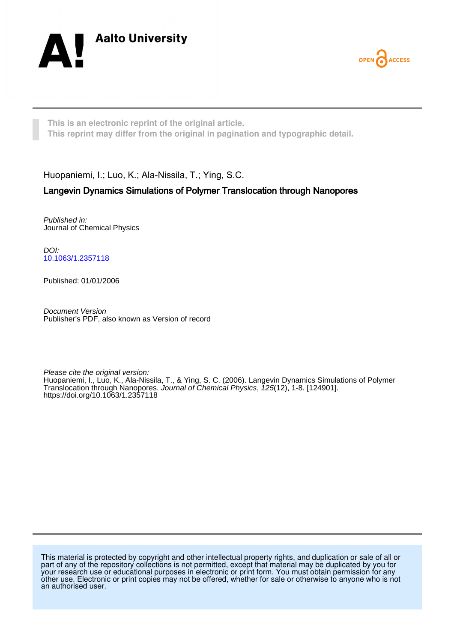



**This is an electronic reprint of the original article. This reprint may differ from the original in pagination and typographic detail.**

Huopaniemi, I.; Luo, K.; Ala-Nissila, T.; Ying, S.C.

# Langevin Dynamics Simulations of Polymer Translocation through Nanopores

Published in: Journal of Chemical Physics

DOI: [10.1063/1.2357118](https://doi.org/10.1063/1.2357118)

Published: 01/01/2006

Document Version Publisher's PDF, also known as Version of record

Please cite the original version: Huopaniemi, I., Luo, K., Ala-Nissila, T., & Ying, S. C. (2006). Langevin Dynamics Simulations of Polymer Translocation through Nanopores. Journal of Chemical Physics, 125(12), 1-8. [124901]. <https://doi.org/10.1063/1.2357118>

This material is protected by copyright and other intellectual property rights, and duplication or sale of all or part of any of the repository collections is not permitted, except that material may be duplicated by you for your research use or educational purposes in electronic or print form. You must obtain permission for any other use. Electronic or print copies may not be offered, whether for sale or otherwise to anyone who is not an authorised user.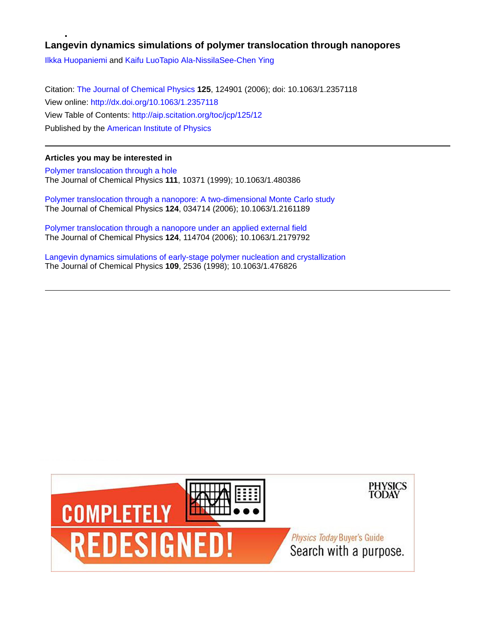## **Langevin dynamics simulations of polymer translocation through nanopores**

[Ilkka Huopaniemi](http://aip.scitation.org/author/Huopaniemi%2C+Ilkka) and [Kaifu Luo](http://aip.scitation.org/author/Luo%2C+Kaifu)[Tapio Ala-Nissila](http://aip.scitation.org/author/Ala-Nissila%2C+Tapio)[See-Chen Ying](http://aip.scitation.org/author/Ying%2C+See-Chen)

Citation: [The Journal of Chemical Physics](/loi/jcp) **125**, 124901 (2006); doi: 10.1063/1.2357118 View online: <http://dx.doi.org/10.1063/1.2357118> View Table of Contents: <http://aip.scitation.org/toc/jcp/125/12> Published by the [American Institute of Physics](http://aip.scitation.org/publisher/)

## **Articles you may be interested in**

[Polymer translocation through a hole](http://aip.scitation.org/doi/abs/10.1063/1.480386) The Journal of Chemical Physics **111**, 10371 (1999); 10.1063/1.480386

[Polymer translocation through a nanopore: A two-dimensional Monte Carlo study](http://aip.scitation.org/doi/abs/10.1063/1.2161189) The Journal of Chemical Physics **124**, 034714 (2006); 10.1063/1.2161189

[Polymer translocation through a nanopore under an applied external field](http://aip.scitation.org/doi/abs/10.1063/1.2179792) The Journal of Chemical Physics **124**, 114704 (2006); 10.1063/1.2179792

[Langevin dynamics simulations of early-stage polymer nucleation and crystallization](http://aip.scitation.org/doi/abs/10.1063/1.476826) The Journal of Chemical Physics **109**, 2536 (1998); 10.1063/1.476826

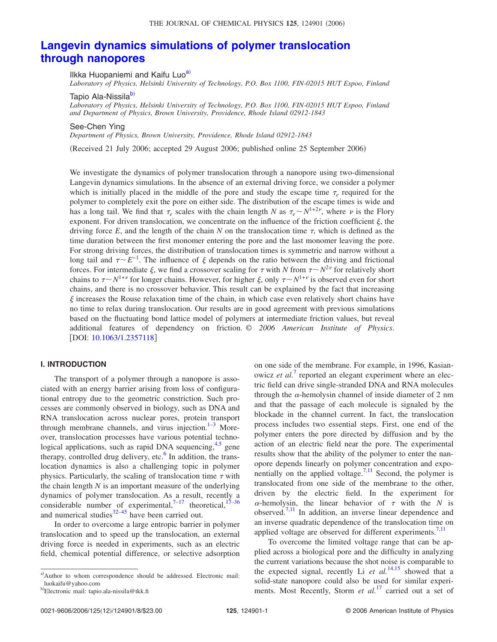# **[Langevin dynamics simulations of polymer translocation](http://dx.doi.org/10.1063/1.2357118) [through nanopores](http://dx.doi.org/10.1063/1.2357118)**

Ilkka Huopaniemi and Kaifu Luo<sup>a)</sup>

*Laboratory of Physics, Helsinki University of Technology, P.O. Box 1100, FIN-02015 HUT Espoo, Finland*

Tapio Ala-Nissila<sup>b)</sup>

*Laboratory of Physics, Helsinki University of Technology, P.O. Box 1100, FIN-02015 HUT Espoo, Finland and Department of Physics, Brown University, Providence, Rhode Island 02912-1843*

See-Chen Ying

*Department of Physics, Brown University, Providence, Rhode Island 02912-1843*

(Received 21 July 2006; accepted 29 August 2006; published online 25 September 2006)

We investigate the dynamics of polymer translocation through a nanopore using two-dimensional Langevin dynamics simulations. In the absence of an external driving force, we consider a polymer which is initially placed in the middle of the pore and study the escape time  $\tau_e$  required for the polymer to completely exit the pore on either side. The distribution of the escape times is wide and has a long tail. We find that  $\tau_e$  scales with the chain length *N* as  $\tau_e \sim N^{1+2\nu}$ , where  $\nu$  is the Flory exponent. For driven translocation, we concentrate on the influence of the friction coefficient  $\xi$ , the driving force  $E$ , and the length of the chain  $N$  on the translocation time  $\tau$ , which is defined as the time duration between the first monomer entering the pore and the last monomer leaving the pore. For strong driving forces, the distribution of translocation times is symmetric and narrow without a long tail and  $\tau \sim E^{-1}$ . The influence of  $\xi$  depends on the ratio between the driving and frictional forces. For intermediate  $\xi$ , we find a crossover scaling for  $\tau$  with *N* from  $\tau \sim N^{2\nu}$  for relatively short chains to  $\tau \sim N^{1+\nu}$  for longer chains. However, for higher  $\xi$ , only  $\tau \sim N^{1+\nu}$  is observed even for short chains, and there is no crossover behavior. This result can be explained by the fact that increasing  $\xi$  increases the Rouse relaxation time of the chain, in which case even relatively short chains have no time to relax during translocation. Our results are in good agreement with previous simulations based on the fluctuating bond lattice model of polymers at intermediate friction values, but reveal additional features of dependency on friction. © *2006 American Institute of Physics*. [DOI: [10.1063/1.2357118](http://dx.doi.org/10.1063/1.2357118)]

## **I. INTRODUCTION**

The transport of a polymer through a nanopore is associated with an energy barrier arising from loss of configurational entropy due to the geometric constriction. Such processes are commonly observed in biology, such as DNA and RNA translocation across nuclear pores, protein transport through membrane channels, and virus injection. $1-3$  Moreover, translocation processes have various potential technological applications, such as rapid DNA sequencing,<sup>4,5</sup> gene therapy, controlled drug delivery, etc. $6$  In addition, the translocation dynamics is also a challenging topic in polymer physics. Particularly, the scaling of translocation time  $\tau$  with the chain length *N* is an important measure of the underlying dynamics of polymer translocation. As a result, recently a considerable number of experimental,<sup>7–17</sup> theoretical,<sup>17–36</sup> and numerical studies $32-45$  have been carried out.

In order to overcome a large entropic barrier in polymer translocation and to speed up the translocation, an external driving force is needed in experiments, such as an electric field, chemical potential difference, or selective adsorption on one side of the membrane. For example, in 1996, Kasianowicz *et al.*<sup>[7](#page-9-0)</sup> reported an elegant experiment where an electric field can drive single-stranded DNA and RNA molecules through the  $\alpha$ -hemolysin channel of inside diameter of 2 nm and that the passage of each molecule is signaled by the blockade in the channel current. In fact, the translocation process includes two essential steps. First, one end of the polymer enters the pore directed by diffusion and by the action of an electric field near the pore. The experimental results show that the ability of the polymer to enter the nanopore depends linearly on polymer concentration and exponentially on the applied voltage.<sup>7,11</sup> Second, the polymer is translocated from one side of the membrane to the other, driven by the electric field. In the experiment for  $\alpha$ -hemolysin, the linear behavior of  $\tau$  with the *N* is observed[.7,11](#page-9-0) In addition, an inverse linear dependence and an inverse quadratic dependence of the translocation time on applied voltage are observed for different experiments.<sup>7,11</sup>

To overcome the limited voltage range that can be applied across a biological pore and the difficulty in analyzing the current variations because the shot noise is comparable to the expected signal, recently Li  $et \ al.<sup>14,15</sup>$  $et \ al.<sup>14,15</sup>$  $et \ al.<sup>14,15</sup>$  showed that a solid-state nanopore could also be used for similar experiments. Most Recently, Storm *et al.*<sup>[17](#page-9-0)</sup> carried out a set of

a)Author to whom correspondence should be addressed. Electronic mail: luokaifu@yahoo.com

b- Electronic mail: tapio.ala-nissila@tkk.fi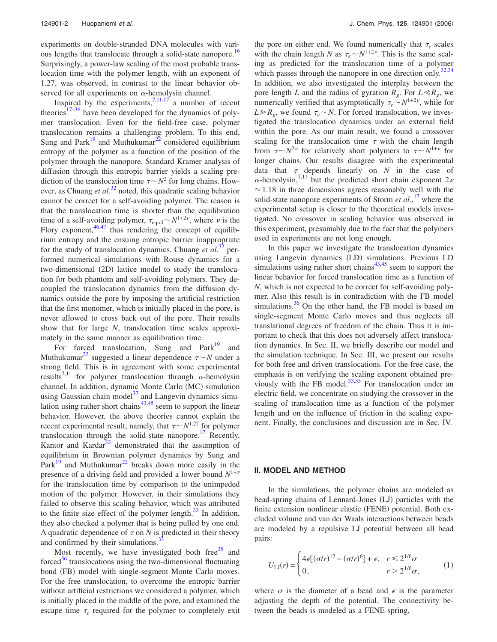experiments on double-stranded DNA molecules with various lengths that translocate through a solid-state nanopore.<sup>16</sup> Surprisingly, a power-law scaling of the most probable translocation time with the polymer length, with an exponent of 1.27, was observed, in contrast to the linear behavior observed for all experiments on  $\alpha$ -hemolysin channel.

Inspired by the experiments,  $7,11,17$  a number of recent theories<sup>17–36</sup> have been developed for the dynamics of polymer translocation. Even for the field-free case, polymer translocation remains a challenging problem. To this end, Sung and Park $19$  and Muthukumar<sup>22</sup> considered equilibrium entropy of the polymer as a function of the position of the polymer through the nanopore. Standard Kramer analysis of diffusion through this entropic barrier yields a scaling prediction of the translocation time  $\tau \sim N^2$  for long chains. However, as Chuang *et al.*<sup>[32](#page-9-0)</sup> noted, this quadratic scaling behavior cannot be correct for a self-avoiding polymer. The reason is that the translocation time is shorter than the equilibration time of a self-avoiding polymer,  $\tau_{\text{equil}} \sim N^{1+2\nu}$ , where  $\nu$  is the Flory exponent,  $46,47$  thus rendering the concept of equilibrium entropy and the ensuing entropic barrier inappropriate for the study of translocation dynamics. Chuang *et al.*<sup>[32](#page-9-0)</sup> performed numerical simulations with Rouse dynamics for a two-dimensional (2D) lattice model to study the translocation for both phantom and self-avoiding polymers. They decoupled the translocation dynamics from the diffusion dynamics outside the pore by imposing the artificial restriction that the first monomer, which is initially placed in the pore, is never allowed to cross back out of the pore. Their results show that for large *N*, translocation time scales approximately in the same manner as equilibration time.

For forced translocation, Sung and  $Park<sup>19</sup>$  and Muthukumar<sup>22</sup> suggested a linear dependence  $\tau \sim N$  under a strong field. This is in agreement with some experimental results<sup>[7,11](#page-9-0)</sup> for polymer translocation through  $\alpha$ -hemolysin channel. In addition, dynamic Monte Carlo (MC) simulation using Gaussian chain model $37$  and Langevin dynamics simulation using rather short chains $43,45$  seem to support the linear behavior. However, the above theories cannot explain the recent experimental result, namely, that  $\tau \sim N^{1.27}$  for polymer translocation through the solid-state nanopore.<sup>17</sup> Recently, Kantor and Kardar $33$  demonstrated that the assumption of equilibrium in Brownian polymer dynamics by Sung and  $\text{Park}^{19}$  and Muthukumar<sup>22</sup> breaks down more easily in the presence of a driving field and provided a lower bound  $N^{1+\nu}$ for the translocation time by comparison to the unimpeded motion of the polymer. However, in their simulations they failed to observe this scaling behavior, which was attributed to the finite size effect of the polymer length. $33$  In addition, they also checked a polymer that is being pulled by one end. A quadratic dependence of  $\tau$  on N is predicted in their theory and confirmed by their simulations. $3\frac{3}{3}$ 

Most recently, we have investigated both free  $35$  and forced<sup>36</sup> translocations using the two-dimensional fluctuating bond (FB) model with single-segment Monte Carlo moves. For the free translocation, to overcome the entropic barrier without artificial restrictions we considered a polymer, which is initially placed in the middle of the pore, and examined the escape time  $\tau_e$  required for the polymer to completely exit the pore on either end. We found numerically that  $\tau_e$  scales with the chain length *N* as  $\tau_e \sim N^{1+2\nu}$ . This is the same scaling as predicted for the translocation time of a polymer which passes through the nanopore in one direction only.<sup>32,34</sup> In addition, we also investigated the interplay between the pore length *L* and the radius of gyration  $R_g$ . For  $L \ll R_g$ , we numerically verified that asymptotically  $\tau_e \sim N^{1+2\nu}$ , while for  $L \ge R_\varrho$ , we found  $\tau_e \sim N$ . For forced translocation, we investigated the translocation dynamics under an external field within the pore. As our main result, we found a crossover scaling for the translocation time  $\tau$  with the chain length from  $\tau \sim N^{2\nu}$  for relatively short polymers to  $\tau \sim N^{1+\nu}$  for longer chains. Our results disagree with the experimental data that  $\tau$  depends linearly on  $N$  in the case of  $\alpha$ -hemolysin,<sup>7,11</sup> but the predicted short chain exponent 2 $\nu$  $\approx$  1.18 in three dimensions agrees reasonably well with the solid-state nanopore experiments of Storm *et al.*, [17](#page-9-0) where the experimental setup is closer to the theoretical models investigated. No crossover in scaling behavior was observed in this experiment, presumably due to the fact that the polymers used in experiments are not long enough.

In this paper we investigate the translocation dynamics using Langevin dynamics (LD) simulations. Previous LD simulations using rather short chains $43,45$  seem to support the linear behavior for forced translocation time as a function of *N*, which is not expected to be correct for self-avoiding polymer. Also this result is in contradiction with the FB model simulations.<sup>36</sup> On the other hand, the FB model is based on single-segment Monte Carlo moves and thus neglects all translational degrees of freedom of the chain. Thus it is important to check that this does not adversely affect translocation dynamics. In Sec. II, we briefly describe our model and the simulation technique. In Sec. III, we present our results for both free and driven translocations. For the free case, the emphasis is on verifying the scaling exponent obtained previously with the FB model. $^{33,35}$  For translocation under an electric field, we concentrate on studying the crossover in the scaling of translocation time as a function of the polymer length and on the influence of friction in the scaling exponent. Finally, the conclusions and discussion are in Sec. IV.

#### **II. MODEL AND METHOD**

In the simulations, the polymer chains are modeled as bead-spring chains of Lennard-Jones (LJ) particles with the finite extension nonlinear elastic (FENE) potential. Both excluded volume and van der Waals interactions between beads are modeled by a repulsive LJ potential between all bead pairs:

$$
U_{\text{LJ}}(r) = \begin{cases} 4\epsilon [(\sigma/r)^{12} - (\sigma/r)^6] + \epsilon, & r \le 2^{1/6}\sigma \\ 0, & r > 2^{1/6}\sigma, \end{cases}
$$
 (1)

where  $\sigma$  is the diameter of a bead and  $\epsilon$  is the parameter adjusting the depth of the potential. The connectivity between the beads is modeled as a FENE spring,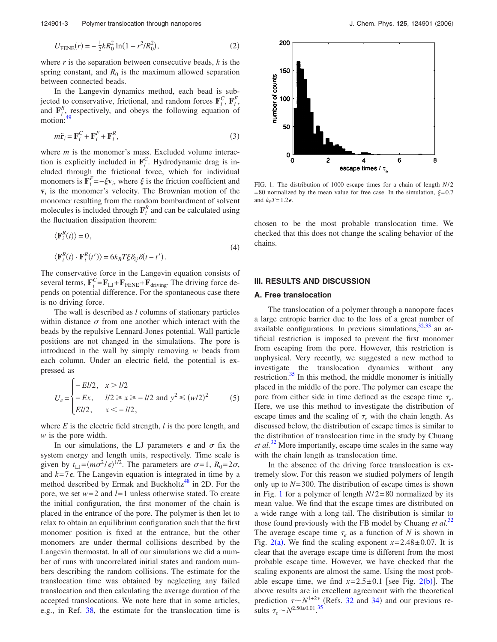<span id="page-4-0"></span>
$$
U_{\text{FENE}}(r) = -\frac{1}{2}kR_0^2 \ln(1 - r^2/R_0^2),\tag{2}
$$

where *r* is the separation between consecutive beads, *k* is the spring constant, and  $R_0$  is the maximum allowed separation between connected beads.

In the Langevin dynamics method, each bead is subis jected to conservative, frictional, and random forces  $\mathbf{F}_i^C$ ,  $\mathbf{F}_i^F$ , and  $\mathbf{F}_{i}^{R}$ , respectively, and obeys the following equation of motion:

$$
m\ddot{\mathbf{r}}_i = \mathbf{F}_i^C + \mathbf{F}_i^F + \mathbf{F}_i^R,\tag{3}
$$

where *m* is the monomer's mass. Excluded volume interaction is explicitly included in  $\mathbf{F}_i^C$ . Hydrodynamic drag is included through the frictional force, which for individual monomers is  $\mathbf{F}_i^F = -\xi \mathbf{v}_i$ , where  $\xi$  is the friction coefficient and  $v_i$  is the monomer's velocity. The Brownian motion of the monomer resulting from the random bombardment of solvent molecules is included through  $\mathbf{F}_i^R$  and can be calculated using the fluctuation dissipation theorem:

$$
\langle \mathbf{F}_i^R(t) \rangle = 0,
$$
  

$$
\langle \mathbf{F}_i^R(t) \cdot \mathbf{F}_i^R(t') \rangle = 6k_B T \xi \delta_{ij} \delta(t - t').
$$
 (4)

The conservative force in the Langevin equation consists of several terms,  $\mathbf{F}_i^C = \mathbf{F}_{\text{LJ}} + \mathbf{F}_{\text{FENE}} + \mathbf{F}_{\text{driving}}$ . The driving force depends on potential difference. For the spontaneous case there is no driving force.

The wall is described as *l* columns of stationary particles within distance  $\sigma$  from one another which interact with the beads by the repulsive Lennard-Jones potential. Wall particle positions are not changed in the simulations. The pore is introduced in the wall by simply removing *w* beads from each column. Under an electric field, the potential is expressed as

$$
U_e = \begin{cases} -El/2, & x > l/2\\ -Ex, & l/2 \ge x \ge -l/2 \text{ and } y^2 \le (w/2)^2\\ El/2, & x < -l/2, \end{cases}
$$
 (5)

where *E* is the electric field strength, *l* is the pore length, and *w* is the pore width.

In our simulations, the LJ parameters  $\epsilon$  and  $\sigma$  fix the system energy and length units, respectively. Time scale is given by  $t_{\text{LJ}} = (m\sigma^2 / \epsilon)^{1/2}$ . The parameters are  $\sigma = 1$ ,  $R_0 = 2\sigma$ , and  $k=7\epsilon$ . The Langevin equation is integrated in time by a method described by Ermak and Buckholtz<sup>48</sup> in 2D. For the pore, we set  $w=2$  and  $l=1$  unless otherwise stated. To create the initial configuration, the first monomer of the chain is placed in the entrance of the pore. The polymer is then let to relax to obtain an equilibrium configuration such that the first monomer position is fixed at the entrance, but the other monomers are under thermal collisions described by the Langevin thermostat. In all of our simulations we did a number of runs with uncorrelated initial states and random numbers describing the random collisions. The estimate for the translocation time was obtained by neglecting any failed translocation and then calculating the average duration of the accepted translocations. We note here that in some articles, e.g., in Ref. [38,](#page-9-0) the estimate for the translocation time is



FIG. 1. The distribution of 1000 escape times for a chain of length *N*/ 2 = 80 normalized by the mean value for free case. In the simulation,  $\xi$ = 0.7 and  $k_B T = 1.2 \epsilon$ .

chosen to be the most probable translocation time. We checked that this does not change the scaling behavior of the chains.

### **III. RESULTS AND DISCUSSION**

#### **A. Free translocation**

The translocation of a polymer through a nanopore faces a large entropic barrier due to the loss of a great number of available configurations. In previous simulations,  $32,33$  an artificial restriction is imposed to prevent the first monomer from escaping from the pore. However, this restriction is unphysical. Very recently, we suggested a new method to investigate the translocation dynamics without any restriction. $35$  In this method, the middle monomer is initially placed in the middle of the pore. The polymer can escape the pore from either side in time defined as the escape time  $\tau_e$ . Here, we use this method to investigate the distribution of escape times and the scaling of  $\tau_e$  with the chain length. As discussed below, the distribution of escape times is similar to the distribution of translocation time in the study by Chuang *et al.*[32](#page-9-0) More importantly, escape time scales in the same way with the chain length as translocation time.

In the absence of the driving force translocation is extremely slow. For this reason we studied polymers of length only up to  $N = 300$ . The distribution of escape times is shown in Fig. 1 for a polymer of length *N*/ 2= 80 normalized by its mean value. We find that the escape times are distributed on a wide range with a long tail. The distribution is similar to those found previously with the FB model by Chuang *et al.*[32](#page-9-0) The average escape time  $\tau_e$  as a function of *N* is shown in Fig. [2](#page-5-0)(a). We find the scaling exponent  $x=2.48\pm0.07$ . It is clear that the average escape time is different from the most probable escape time. However, we have checked that the scaling exponents are almost the same. Using the most probable escape time, we find  $x=2.5\pm0.1$  $x=2.5\pm0.1$  $x=2.5\pm0.1$  [see Fig. 2(b)]. The above results are in excellent agreement with the theoretical prediction  $\tau \sim N^{1+2\nu}$  (Refs. [32](#page-9-0) and [34](#page-9-0)) and our previous results  $\tau_e \sim N^{2.50 \pm 0.01}$ .<sup>[35](#page-9-0)</sup>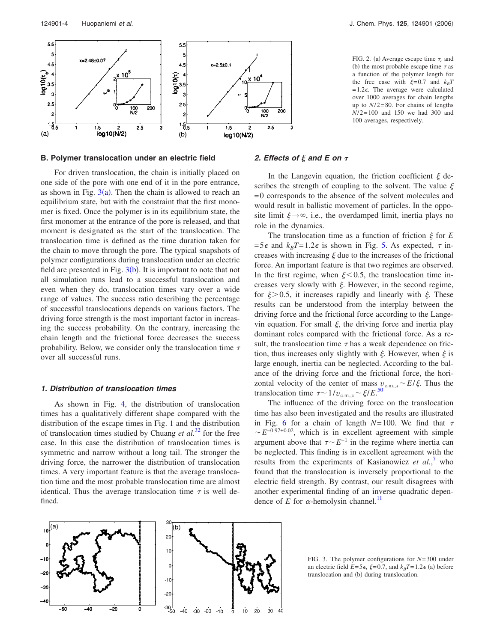<span id="page-5-0"></span>

#### **B. Polymer translocation under an electric field**

For driven translocation, the chain is initially placed on one side of the pore with one end of it in the pore entrance, as shown in Fig.  $3(a)$ . Then the chain is allowed to reach an equilibrium state, but with the constraint that the first monomer is fixed. Once the polymer is in its equilibrium state, the first monomer at the entrance of the pore is released, and that moment is designated as the start of the translocation. The translocation time is defined as the time duration taken for the chain to move through the pore. The typical snapshots of polymer configurations during translocation under an electric field are presented in Fig.  $3(b)$ . It is important to note that not all simulation runs lead to a successful translocation and even when they do, translocation times vary over a wide range of values. The success ratio describing the percentage of successful translocations depends on various factors. The driving force strength is the most important factor in increasing the success probability. On the contrary, increasing the chain length and the frictional force decreases the success probability. Below, we consider only the translocation time  $\tau$ over all successful runs.

#### *1. Distribution of translocation times*

As shown in Fig. [4,](#page-6-0) the distribution of translocation times has a qualitatively different shape compared with the distribution of the escape times in Fig. [1](#page-4-0) and the distribution of translocation times studied by Chuang *et al.*[32](#page-9-0) for the free case. In this case the distribution of translocation times is symmetric and narrow without a long tail. The stronger the driving force, the narrower the distribution of translocation times. A very important feature is that the average translocation time and the most probable translocation time are almost identical. Thus the average translocation time  $\tau$  is well defined.

FIG. 2. (a) Average escape time  $\tau_e$  and (b) the most probable escape time  $\tau$  as a function of the polymer length for the free case with  $\xi = 0.7$  and  $k_B T$  $= 1.2\epsilon$ . The average were calculated over 1000 averages for chain lengths up to  $N/2=80$ . For chains of lengths *N*/ 2= 100 and 150 we had 300 and 100 averages, respectively.

#### *2. Effects of and E on* -

In the Langevin equation, the friction coefficient  $\xi$  describes the strength of coupling to the solvent. The value  $\xi$ = 0 corresponds to the absence of the solvent molecules and would result in ballistic movement of particles. In the opposite limit  $\xi \rightarrow \infty$ , i.e., the overdamped limit, inertia plays no role in the dynamics.

The translocation time as a function of friction  $\xi$  for  $E$  $= 5\epsilon$  and  $k_B T = 1.2\epsilon$  is shown in Fig. [5.](#page-6-0) As expected,  $\tau$  increases with increasing  $\xi$  due to the increases of the frictional force. An important feature is that two regimes are observed. In the first regime, when  $\xi$ <0.5, the translocation time increases very slowly with  $\xi$ . However, in the second regime, for  $\xi > 0.5$ , it increases rapidly and linearly with  $\xi$ . These results can be understood from the interplay between the driving force and the frictional force according to the Langevin equation. For small  $\xi$ , the driving force and inertia play dominant roles compared with the frictional force. As a result, the translocation time  $\tau$  has a weak dependence on friction, thus increases only slightly with  $\xi$ . However, when  $\xi$  is large enough, inertia can be neglected. According to the balance of the driving force and the frictional force, the horizontal velocity of the center of mass  $v_{c.m.,x} \sim E/\xi$ . Thus the translocation time  $\tau \sim 1/v_{\text{c.m.},x} \sim \xi/E$ .<sup>[50](#page-9-0)</sup>

The influence of the driving force on the translocation time has also been investigated and the results are illustrated in Fig. [6](#page-6-0) for a chain of length  $N=100$ . We find that  $\tau$  $\sim E^{-0.97\pm0.02}$ , which is in excellent agreement with simple argument above that  $\tau \sim E^{-1}$  in the regime where inertia can be neglected. This finding is in excellent agreement with the results from the experiments of Kasianowicz *et al.*, [7](#page-9-0) who found that the translocation is inversely proportional to the electric field strength. By contrast, our result disagrees with another experimental finding of an inverse quadratic dependence of  $E$  for  $\alpha$ -hemolysin channel.<sup>11</sup>



FIG. 3. The polymer configurations for *N*= 300 under an electric field  $E = 5\epsilon$ ,  $\xi = 0.7$ , and  $k_B T = 1.2\epsilon$  (a) before translocation and (b) during translocation.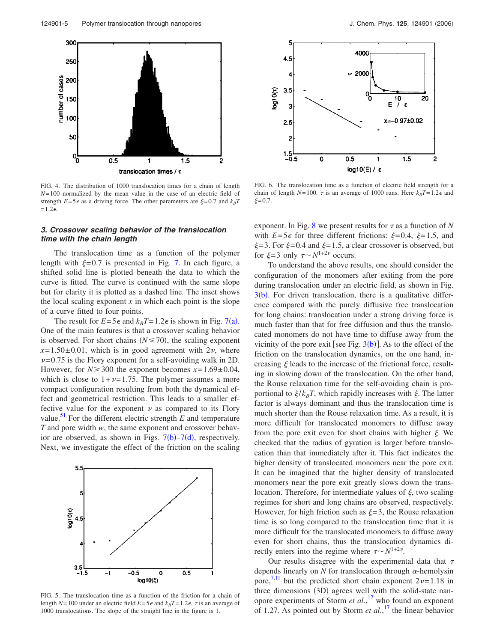<span id="page-6-0"></span>

FIG. 4. The distribution of 1000 translocation times for a chain of length *N*= 100 normalized by the mean value in the case of an electric field of strength  $E=5\epsilon$  as a driving force. The other parameters are  $\xi=0.7$  and  $k_BT$  $= 1.2\varepsilon$ .

#### *3. Crossover scaling behavior of the translocation time with the chain length*

The translocation time as a function of the polymer length with  $\xi = 0.7$  is presented in Fig. [7.](#page-7-0) In each figure, a shifted solid line is plotted beneath the data to which the curve is fitted. The curve is continued with the same slope but for clarity it is plotted as a dashed line. The inset shows the local scaling exponent  $x$  in which each point is the slope of a curve fitted to four points.

The result for  $E = 5\epsilon$  and  $k_B T = 1.2\epsilon$  is shown in Fig. [7](#page-7-0)(a). One of the main features is that a crossover scaling behavior is observed. For short chains  $(N \le 70)$ , the scaling exponent  $x=1.50\pm0.01$ , which is in good agreement with  $2\nu$ , where  $\nu$ =0.75 is the Flory exponent for a self-avoiding walk in 2D. However, for  $N \ge 300$  the exponent becomes  $x = 1.69 \pm 0.04$ , which is close to  $1 + \nu = 1.75$ . The polymer assumes a more compact configuration resulting from both the dynamical effect and geometrical restriction. This leads to a smaller effective value for the exponent  $\nu$  as compared to its Flory value.<sup>51</sup> For the different electric strength  $E$  and temperature *T* and pore width *w*, the same exponent and crossover behavior are observed, as shown in Figs.  $7(b)$  $7(b)$ - $7(d)$ , respectively. Next, we investigate the effect of the friction on the scaling



FIG. 5. The translocation time as a function of the friction for a chain of length  $N=100$  under an electric field  $E=5\epsilon$  and  $k_BT=1.2\epsilon$ .  $\tau$  is an average of 1000 translocations. The slope of the straight line in the figure is 1.



FIG. 6. The translocation time as a function of electric field strength for a chain of length *N*=100.  $\tau$  is an average of 1000 runs. Here  $k_B T = 1.2 \epsilon$  and  $\mathcal{E} = 0.7$ .

exponent. In Fig. [8](#page-7-0) we present results for  $\tau$  as a function of N with  $E=5\epsilon$  for three different frictions:  $\xi=0.4$ ,  $\xi=1.5$ , and  $\xi = 3$ . For  $\xi = 0.4$  and  $\xi = 1.5$ , a clear crossover is observed, but for  $\xi = 3$  only  $\tau \sim N^{1+2\nu}$  occurs.

To understand the above results, one should consider the configuration of the monomers after exiting from the pore during translocation under an electric field, as shown in Fig.  $3(b)$  $3(b)$ . For driven translocation, there is a qualitative difference compared with the purely diffusive free translocation for long chains: translocation under a strong driving force is much faster than that for free diffusion and thus the translocated monomers do not have time to diffuse away from the vicinity of the pore exit [see Fig.  $3(b)$  $3(b)$ ]. As to the effect of the friction on the translocation dynamics, on the one hand, increasing  $\xi$  leads to the increase of the frictional force, resulting in slowing down of the translocation. On the other hand, the Rouse relaxation time for the self-avoiding chain is proportional to  $\xi/k_BT$ , which rapidly increases with  $\xi$ . The latter factor is always dominant and thus the translocation time is much shorter than the Rouse relaxation time. As a result, it is more difficult for translocated monomers to diffuse away from the pore exit even for short chains with higher  $\xi$ . We checked that the radius of gyration is larger before translocation than that immediately after it. This fact indicates the higher density of translocated monomers near the pore exit. It can be imagined that the higher density of translocated monomers near the pore exit greatly slows down the translocation. Therefore, for intermediate values of  $\xi$ , two scaling regimes for short and long chains are observed, respectively. However, for high friction such as  $\xi = 3$ , the Rouse relaxation time is so long compared to the translocation time that it is more difficult for the translocated monomers to diffuse away even for short chains, thus the translocation dynamics directly enters into the regime where  $\tau \sim N^{1+2\nu}$ .

Our results disagree with the experimental data that  $\tau$ depends linearly on  $N$  for translocation through  $\alpha$ -hemolysin pore,<sup>[7,11](#page-9-0)</sup> but the predicted short chain exponent  $2\nu$ =1.18 in three dimensions (3D) agrees well with the solid-state nanopore experiments of Storm *et al.*, [17](#page-9-0) who found an exponent of 1.27. As pointed out by Storm *et al.*, [17](#page-9-0) the linear behavior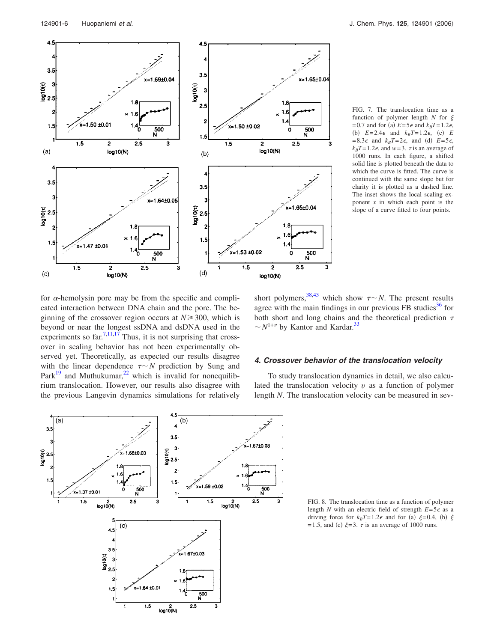<span id="page-7-0"></span>

FIG. 7. The translocation time as a function of polymer length  $N$  for  $\xi$ = 0.7 and for (a)  $E = 5\epsilon$  and  $k_B T = 1.2\epsilon$ , (b)  $E=2.4\epsilon$  and  $k_BT=1.2\epsilon$ , (c) E  $= 8.3\epsilon$  and  $k_B T = 2\epsilon$ , and (d)  $E = 5\epsilon$ ,  $k_B T = 1.2\epsilon$ , and  $w = 3$ .  $\tau$  is an average of 1000 runs. In each figure, a shifted solid line is plotted beneath the data to which the curve is fitted. The curve is continued with the same slope but for clarity it is plotted as a dashed line. The inset shows the local scaling exponent *x* in which each point is the slope of a curve fitted to four points.

for  $\alpha$ -hemolysin pore may be from the specific and complicated interaction between DNA chain and the pore. The beginning of the crossover region occurs at  $N \ge 300$ , which is beyond or near the longest ssDNA and dsDNA used in the experiments so far.<sup>7,11,17</sup> Thus, it is not surprising that crossover in scaling behavior has not been experimentally observed yet. Theoretically, as expected our results disagree with the linear dependence  $\tau \sim N$  prediction by Sung and Park $19$  and Muthukumar,<sup>22</sup> which is invalid for nonequilibrium translocation. However, our results also disagree with the previous Langevin dynamics simulations for relatively

short polymers,<sup>38,43</sup> which show  $\tau \sim N$ . The present results agree with the main findings in our previous FB studies $36$  for both short and long chains and the theoretical prediction  $\tau$  $\sim N^{1+\nu}$  by Kantor and Kardar.<sup>33</sup>

### *4. Crossover behavior of the translocation velocity*

To study translocation dynamics in detail, we also calculated the translocation velocity *v* as a function of polymer length *N*. The translocation velocity can be measured in sev-



FIG. 8. The translocation time as a function of polymer length *N* with an electric field of strength  $E=5\epsilon$  as a driving force for  $k_B T = 1.2\epsilon$  and for (a)  $\xi = 0.4$ , (b)  $\xi$ =1.5, and (c)  $\xi$ =3.  $\tau$  is an average of 1000 runs.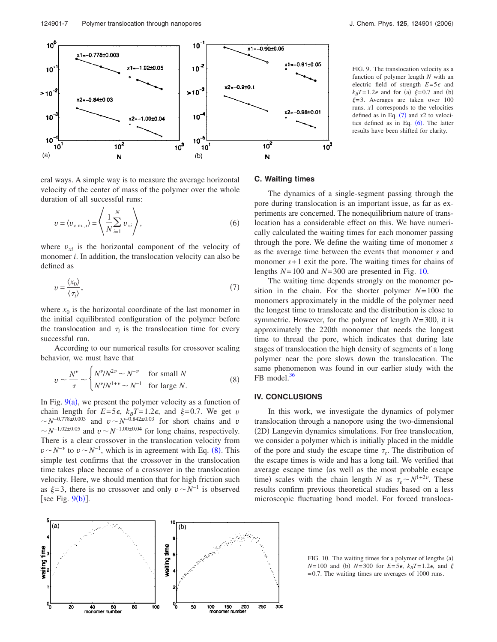

eral ways. A simple way is to measure the average horizontal velocity of the center of mass of the polymer over the whole duration of all successful runs:

$$
v = \langle v_{\text{c.m.,x}} \rangle = \left\langle \frac{1}{N} \sum_{i=1}^{N} v_{xi} \right\rangle, \tag{6}
$$

where  $v_{xi}$  is the horizontal component of the velocity of monomer *i*. In addition, the translocation velocity can also be defined as

$$
v = \frac{\langle x_0 \rangle}{\langle \tau_i \rangle},\tag{7}
$$

where  $x_0$  is the horizontal coordinate of the last monomer in the initial equilibrated configuration of the polymer before the translocation and  $\tau_i$  is the translocation time for every successful run.

According to our numerical results for crossover scaling behavior, we must have that

$$
v \sim \frac{N^{\nu}}{\tau} \sim \begin{cases} N^{\nu}/N^{2\nu} \sim N^{-\nu} & \text{for small } N\\ N^{\nu}/N^{1+\nu} \sim N^{-1} & \text{for large } N. \end{cases}
$$
 (8)

In Fig.  $9(a)$ , we present the polymer velocity as a function of chain length for  $E=5\epsilon$ ,  $k_BT=1.2\epsilon$ , and  $\xi=0.7$ . We get *v*  $\sim N^{-0.778 \pm 0.003}$  and  $v \sim N^{-0.842 \pm 0.03}$  for short chains and *v*  $\sim N^{-1.02 \pm 0.05}$  and  $v \sim N^{-1.00 \pm 0.04}$  for long chains, respectively. There is a clear crossover in the translocation velocity from  $v \sim N^{-\nu}$  to  $v \sim N^{-1}$ , which is in agreement with Eq. (8). This simple test confirms that the crossover in the translocation time takes place because of a crossover in the translocation velocity. Here, we should mention that for high friction such as  $\xi = 3$ , there is no crossover and only  $v \sim N^{-1}$  is observed [see Fig.  $9(b)$ ].

FIG. 9. The translocation velocity as a function of polymer length *N* with an electric field of strength  $E=5\epsilon$  and  $k_B T = 1.2\epsilon$  and for (a)  $\xi = 0.7$  and (b)  $\xi = 3$ . Averages are taken over 100 runs. *x*1 corresponds to the velocities defined as in Eq.  $(7)$  and  $x2$  to velocities defined as in Eq.  $(6)$ . The latter results have been shifted for clarity.

#### **C. Waiting times**

The dynamics of a single-segment passing through the pore during translocation is an important issue, as far as experiments are concerned. The nonequilibrium nature of translocation has a considerable effect on this. We have numerically calculated the waiting times for each monomer passing through the pore. We define the waiting time of monomer *s* as the average time between the events that monomer *s* and monomer  $s+1$  exit the pore. The waiting times for chains of lengths *N*= 100 and *N*= 300 are presented in Fig. 10.

The waiting time depends strongly on the monomer position in the chain. For the shorter polymer *N*= 100 the monomers approximately in the middle of the polymer need the longest time to translocate and the distribution is close to symmetric. However, for the polymer of length *N*= 300, it is approximately the 220th monomer that needs the longest time to thread the pore, which indicates that during late stages of translocation the high density of segments of a long polymer near the pore slows down the translocation. The same phenomenon was found in our earlier study with the FB model.<sup>[36](#page-9-0)</sup>

### **IV. CONCLUSIONS**

In this work, we investigate the dynamics of polymer translocation through a nanopore using the two-dimensional (2D) Langevin dynamics simulations. For free translocation, we consider a polymer which is initially placed in the middle of the pore and study the escape time  $\tau_e$ . The distribution of the escape times is wide and has a long tail. We verified that average escape time (as well as the most probable escape time) scales with the chain length *N* as  $\tau_e \sim N^{1+2\nu}$ . These results confirm previous theoretical studies based on a less microscopic fluctuating bond model. For forced transloca-



FIG. 10. The waiting times for a polymer of lengths (a)  $N=100$  and (b)  $N=300$  for  $E=5\epsilon$ ,  $k_BT=1.2\epsilon$ , and  $\xi$ = 0.7. The waiting times are averages of 1000 runs.